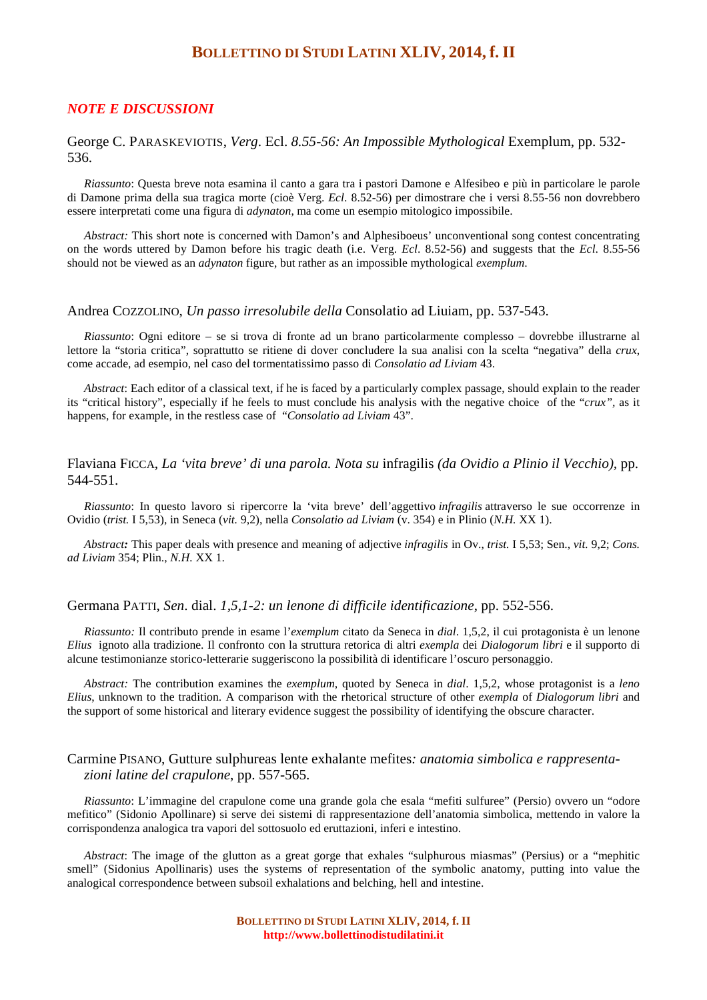# **BOLLETTINO DI STUDI LATINI XLIV, 2014, f. II**

# *NOTE E DISCUSSIONI*

#### George C. PARASKEVIOTIS, *Verg*. Ecl. *8.55-56: An Impossible Mythological* Exemplum, pp. 532- 536.

*Riassunto*: Questa breve nota esamina il canto a gara tra i pastori Damone e Alfesibeo e più in particolare le parole di Damone prima della sua tragica morte (cioè Verg. *Ecl*. 8.52-56) per dimostrare che i versi 8.55-56 non dovrebbero essere interpretati come una figura di *adynaton*, ma come un esempio mitologico impossibile.

*Abstract:* This short note is concerned with Damon's and Alphesiboeus' unconventional song contest concentrating on the words uttered by Damon before his tragic death (i.e. Verg. *Ecl*. 8.52-56) and suggests that the *Ecl*. 8.55-56 should not be viewed as an *adynaton* figure, but rather as an impossible mythological *exemplum*.

#### Andrea COZZOLINO, *Un passo irresolubile della* Consolatio ad Liuiam, pp. 537-543.

*Riassunto*: Ogni editore – se si trova di fronte ad un brano particolarmente complesso – dovrebbe illustrarne al lettore la "storia critica", soprattutto se ritiene di dover concludere la sua analisi con la scelta "negativa" della *crux*, come accade, ad esempio, nel caso del tormentatissimo passo di *Consolatio ad Liviam* 43.

*Abstract*: Each editor of a classical text, if he is faced by a particularly complex passage, should explain to the reader its "critical history", especially if he feels to must conclude his analysis with the negative choice of the "*crux",* as it happens, for example, in the restless case of "*Consolatio ad Liviam* 43".

# Flaviana FICCA, *La 'vita breve' di una parola. Nota su* infragilis *(da Ovidio a Plinio il Vecchio),* pp. 544-551.

*Riassunto*: In questo lavoro si ripercorre la 'vita breve' dell'aggettivo *infragilis* attraverso le sue occorrenze in Ovidio (*trist.* I 5,53), in Seneca (*vit.* 9,2), nella *Consolatio ad Liviam* (v. 354) e in Plinio (*N.H.* XX 1).

*Abstract:* This paper deals with presence and meaning of adjective *infragilis* in Ov., *trist.* I 5,53; Sen., *vit.* 9,2; *Cons. ad Liviam* 354; Plin., *N.H.* XX 1.

## Germana PATTI, *Sen*. dial. *1,5,1-2: un lenone di difficile identificazione*, pp. 552-556.

*Riassunto:* Il contributo prende in esame l'*exemplum* citato da Seneca in *dial*. 1,5,2, il cui protagonista è un lenone *Elius* ignoto alla tradizione. Il confronto con la struttura retorica di altri *exempla* dei *Dialogorum libri* e il supporto di alcune testimonianze storico-letterarie suggeriscono la possibilità di identificare l'oscuro personaggio.

*Abstract:* The contribution examines the *exemplum*, quoted by Seneca in *dial*. 1,5,2, whose protagonist is a *leno Elius*, unknown to the tradition. A comparison with the rhetorical structure of other *exempla* of *Dialogorum libri* and the support of some historical and literary evidence suggest the possibility of identifying the obscure character.

# Carmine PISANO, Gutture sulphureas lente exhalante mefites*: anatomia simbolica e rappresentazioni latine del crapulone*, pp. 557-565.

*Riassunto*: L'immagine del crapulone come una grande gola che esala "mefiti sulfuree" (Persio) ovvero un "odore mefitico" (Sidonio Apollinare) si serve dei sistemi di rappresentazione dell'anatomia simbolica, mettendo in valore la corrispondenza analogica tra vapori del sottosuolo ed eruttazioni, inferi e intestino.

*Abstract*: The image of the glutton as a great gorge that exhales "sulphurous miasmas" (Persius) or a "mephitic smell" (Sidonius Apollinaris) uses the systems of representation of the symbolic anatomy, putting into value the analogical correspondence between subsoil exhalations and belching, hell and intestine.

> **BOLLETTINO DI STUDI LATINI XLIV, 2014, f. II http://www.bollettinodistudilatini.it**